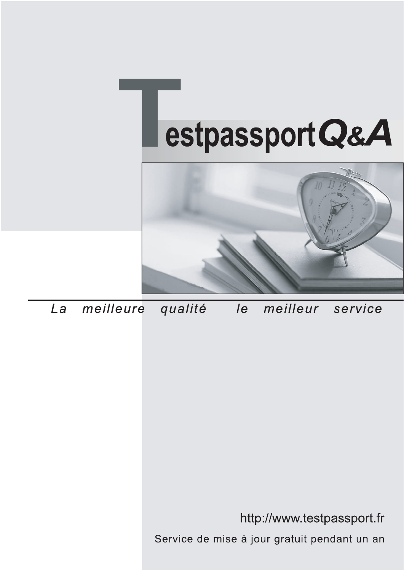



meilleure La qualité  $\overline{e}$ meilleur service

http://www.testpassport.fr

Service de mise à jour gratuit pendant un an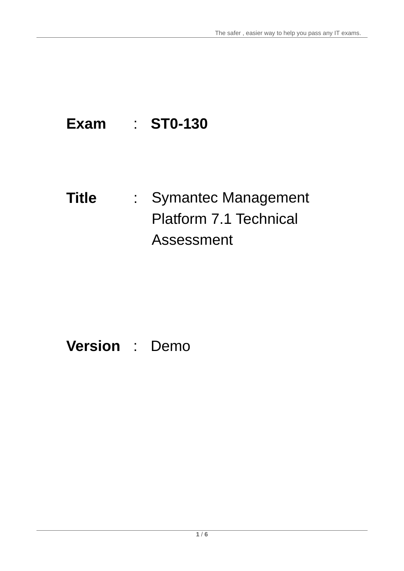## **Exam** : **ST0-130**

# **Title** : Symantec Management Platform 7.1 Technical Assessment

### **Version** : Demo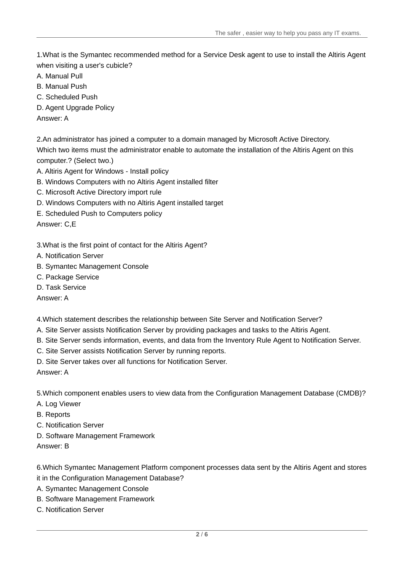1.What is the Symantec recommended method for a Service Desk agent to use to install the Altiris Agent when visiting a user's cubicle?

- A. Manual Pull
- B. Manual Push
- C. Scheduled Push
- D. Agent Upgrade Policy
- Answer: A

2.An administrator has joined a computer to a domain managed by Microsoft Active Directory. Which two items must the administrator enable to automate the installation of the Altiris Agent on this computer.? (Select two.)

- A. Altiris Agent for Windows Install policy
- B. Windows Computers with no Altiris Agent installed filter
- C. Microsoft Active Directory import rule
- D. Windows Computers with no Altiris Agent installed target
- E. Scheduled Push to Computers policy

Answer: C,E

- 3.What is the first point of contact for the Altiris Agent?
- A. Notification Server
- B. Symantec Management Console
- C. Package Service
- D. Task Service

Answer: A

4.Which statement describes the relationship between Site Server and Notification Server?

- A. Site Server assists Notification Server by providing packages and tasks to the Altiris Agent.
- B. Site Server sends information, events, and data from the Inventory Rule Agent to Notification Server.
- C. Site Server assists Notification Server by running reports.
- D. Site Server takes over all functions for Notification Server.

Answer: A

5.Which component enables users to view data from the Configuration Management Database (CMDB)?

- A. Log Viewer
- B. Reports
- C. Notification Server
- D. Software Management Framework
- Answer: B

6.Which Symantec Management Platform component processes data sent by the Altiris Agent and stores it in the Configuration Management Database?

- A. Symantec Management Console
- B. Software Management Framework
- C. Notification Server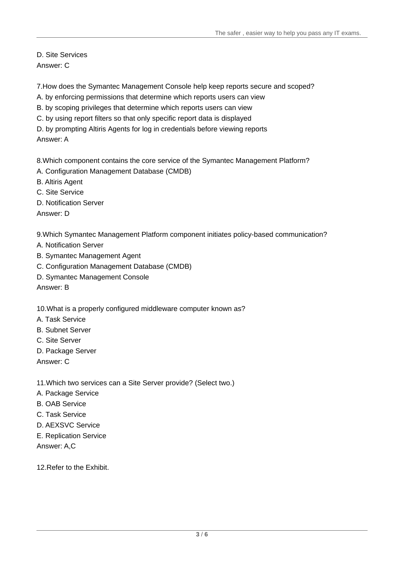D. Site Services Answer: C

7.How does the Symantec Management Console help keep reports secure and scoped?

- A. by enforcing permissions that determine which reports users can view
- B. by scoping privileges that determine which reports users can view
- C. by using report filters so that only specific report data is displayed

D. by prompting Altiris Agents for log in credentials before viewing reports Answer: A

8.Which component contains the core service of the Symantec Management Platform?

- A. Configuration Management Database (CMDB)
- B. Altiris Agent
- C. Site Service
- D. Notification Server

Answer: D

9.Which Symantec Management Platform component initiates policy-based communication?

- A. Notification Server
- B. Symantec Management Agent
- C. Configuration Management Database (CMDB)
- D. Symantec Management Console

Answer: B

10.What is a properly configured middleware computer known as?

- A. Task Service
- B. Subnet Server
- C. Site Server
- D. Package Server

Answer: C

11.Which two services can a Site Server provide? (Select two.)

- A. Package Service
- B. OAB Service
- C. Task Service
- D. AEXSVC Service
- E. Replication Service

Answer: A,C

12 Refer to the Exhibit.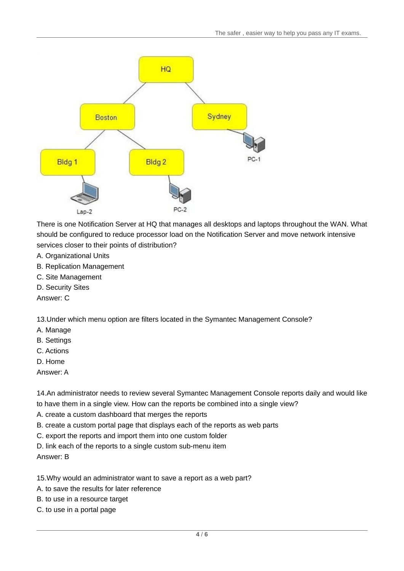

There is one Notification Server at HQ that manages all desktops and laptops throughout the WAN. What should be configured to reduce processor load on the Notification Server and move network intensive services closer to their points of distribution?

- A. Organizational Units
- B. Replication Management
- C. Site Management
- D. Security Sites

Answer: C

13.Under which menu option are filters located in the Symantec Management Console?

- A. Manage
- B. Settings
- C. Actions
- D. Home
- Answer: A

14.An administrator needs to review several Symantec Management Console reports daily and would like to have them in a single view. How can the reports be combined into a single view?

- A. create a custom dashboard that merges the reports
- B. create a custom portal page that displays each of the reports as web parts
- C. export the reports and import them into one custom folder
- D. link each of the reports to a single custom sub-menu item

Answer: B

15.Why would an administrator want to save a report as a web part?

- A. to save the results for later reference
- B. to use in a resource target
- C. to use in a portal page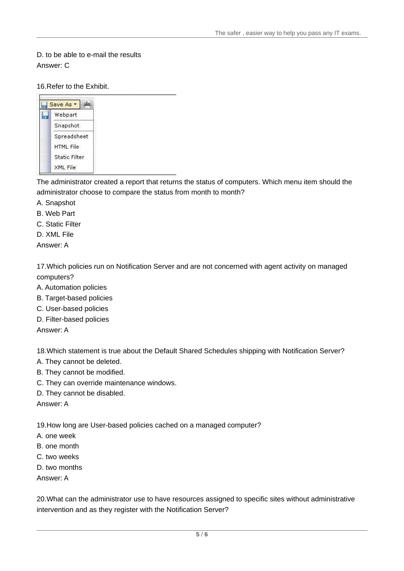### D. to be able to e-mail the results Answer: C

#### 16.Refer to the Exhibit.



The administrator created a report that returns the status of computers. Which menu item should the administrator choose to compare the status from month to month?

- A. Snapshot
- B. Web Part
- C. Static Filter
- D. XML File
- Answer: A

17.Which policies run on Notification Server and are not concerned with agent activity on managed computers?

- A. Automation policies
- B. Target-based policies
- C. User-based policies
- D. Filter-based policies

Answer: A

18.Which statement is true about the Default Shared Schedules shipping with Notification Server?

- A. They cannot be deleted.
- B. They cannot be modified.
- C. They can override maintenance windows.
- D. They cannot be disabled.

Answer: A

19.How long are User-based policies cached on a managed computer?

- A. one week
- B. one month
- C. two weeks
- D. two months

Answer: A

20.What can the administrator use to have resources assigned to specific sites without administrative intervention and as they register with the Notification Server?